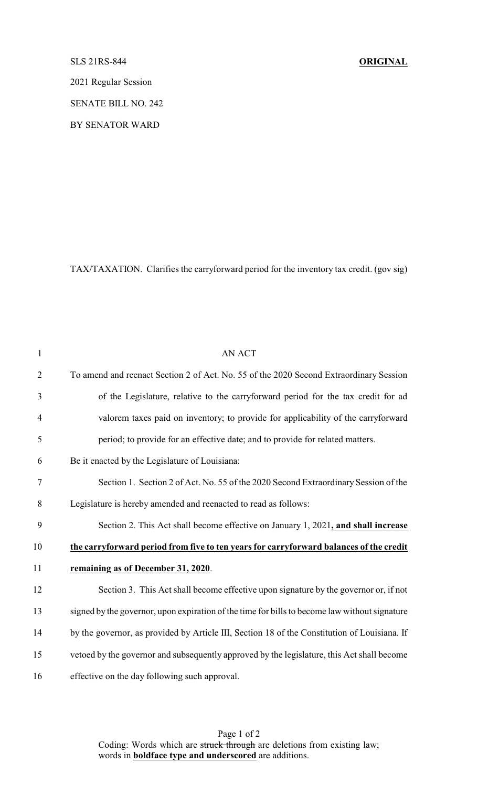## SLS 21RS-844 **ORIGINAL**

2021 Regular Session

SENATE BILL NO. 242

BY SENATOR WARD

TAX/TAXATION. Clarifies the carryforward period for the inventory tax credit. (gov sig)

| $\mathbf{1}$   | AN ACT                                                                                        |
|----------------|-----------------------------------------------------------------------------------------------|
| $\overline{2}$ | To amend and reenact Section 2 of Act. No. 55 of the 2020 Second Extraordinary Session        |
| 3              | of the Legislature, relative to the carryforward period for the tax credit for ad             |
| $\overline{4}$ | valorem taxes paid on inventory; to provide for applicability of the carryforward             |
| 5              | period; to provide for an effective date; and to provide for related matters.                 |
| 6              | Be it enacted by the Legislature of Louisiana:                                                |
| 7              | Section 1. Section 2 of Act. No. 55 of the 2020 Second Extraordinary Session of the           |
| 8              | Legislature is hereby amended and reenacted to read as follows:                               |
| 9              | Section 2. This Act shall become effective on January 1, 2021, and shall increase             |
| 10             | the carryforward period from five to ten years for carryforward balances of the credit        |
| 11             | remaining as of December 31, 2020.                                                            |
| 12             | Section 3. This Act shall become effective upon signature by the governor or, if not          |
| 13             | signed by the governor, upon expiration of the time for bills to become law without signature |
| 14             | by the governor, as provided by Article III, Section 18 of the Constitution of Louisiana. If  |
| 15             | vetoed by the governor and subsequently approved by the legislature, this Act shall become    |
| 16             | effective on the day following such approval.                                                 |